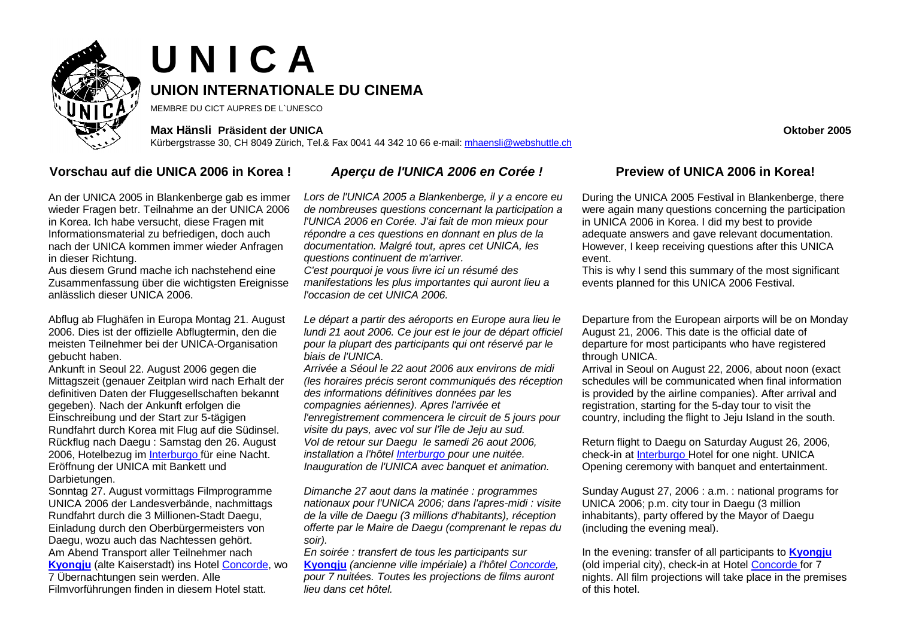

# **U N I C A UNION INTERNATIONALE DU CINEMA**

MEMBRE DU CICT AUPRES DE L`UNESCO

### **Max Hänsli Präsident der UNICA Oktober 2005**

Kürbergstrasse 30, CH 8049 Zürich, Tel.& Fax 0041 44 342 10 66 e-mail: [mhaensli@webshuttle.ch](mailto:mhaensli@webshuttle.ch)

## **Vorschau auf die UNICA 2006 in Korea !** *Aperçu de l'UNICA 2006 en Corée !* **Preview of UNICA 2006 in Korea!**

An der UNICA 2005 in Blankenberge gab es immer wieder Fragen betr. Teilnahme an der UNICA 2006 in Korea. Ich habe versucht, diese Fragen mit Informationsmaterial zu befriedigen, doch auch nach der UNICA kommen immer wieder Anfragen in dieser Richtung.

Aus diesem Grund mache ich nachstehend eine Zusammenfassung über die wichtigsten Ereignisse anlässlich dieser UNICA 2006.

Abflug ab Flughäfen in Europa Montag 21. August 2006. Dies ist der offizielle Abflugtermin, den die meisten Teilnehmer bei der UNICA-Organisation gebucht haben.

Ankunft in Seoul 22. August 2006 gegen die Mittagszeit (genauer Zeitplan wird nach Erhalt der definitiven Daten der Fluggesellschaften bekannt gegeben). Nach der Ankunft erfolgen die Einschreibung und der Start zur 5-tägigen Rundfahrt durch Korea mit Flug auf die Südinsel. Rückflug nach Daegu : Samstag den 26. August 2006, Hotelbezug i[m Interburgo fü](http://ehotel.inter-burgo.com/)r eine Nacht. Eröffnung der UNICA mit Bankett und Darbietungen.

Sonntag 27. August vormittags Filmprogramme UNICA 2006 der Landesverbände, nachmittags Rundfahrt durch die 3 Millionen-Stadt Daegu, Einladung durch den Oberbürgermeisters von Daegu, wozu auch das Nachtessen gehört. Am Abend Transport aller Teilnehmer nach **[Kyongju](http://www.gyeongju.go.kr/eng/main/index.asp)** (alte Kaiserstadt) ins Hotel [Concorde, w](http://www.concorde.co.kr/index1.htm)o 7 Übernachtungen sein werden. Alle Filmvorführungen finden in diesem Hotel statt.

*Lors de l'UNICA 2005 a Blankenberge, il y a encore eu de nombreuses questions concernant la participation a l'UNICA 2006 en Corée. J'ai fait de mon mieux pour répondre a ces questions en donnant en plus de la documentation. Malgré tout, apres cet UNICA, les questions continuent de m'arriver.* 

*C'est pourquoi je vous livre ici un résumé des manifestations les plus importantes qui auront lieu a l'occasion de cet UNICA 2006.*

*Le départ a partir des aéroports en Europe aura lieu le lundi 21 aout 2006. Ce jour est le jour de départ officiel pour la plupart des participants qui ont réservé par le biais de l'UNICA.* 

*Arrivée a Séoul le 22 aout 2006 aux environs de midi (les horaires précis seront communiqués des réception des informations définitives données par les compagnies aériennes). Apres l'arrivée et l'enregistrement commencera le circuit de 5 jours pour visite du pays, avec vol sur l'île de Jeju au sud. Vol de retour sur Daegu le samedi 26 aout 2006, installation a l'hôtel [Interburgo p](http://ehotel.inter-burgo.com/)our une nuitée. Inauguration de l'UNICA avec banquet et animation.* 

*Dimanche 27 aout dans la matinée : programmes nationaux pour l'UNICA 2006; dans l'apres-midi : visite de la ville de Daegu (3 millions d'habitants), réception offerte par le Maire de Daegu (comprenant le repas du soir).* 

*En soirée : transfert de tous les participants sur*  **[Kyongju](http://www.gyeongju.go.kr/eng/main/index.asp)** *(ancienne ville impériale) a l'hôtel [Concorde,](http://www.concorde.co.kr/index1.htm)  pour 7 nuitées. Toutes les projections de films auront lieu dans cet hôtel.* 

During the UNICA 2005 Festival in Blankenberge, there were again many questions concerning the participation in UNICA 2006 in Korea. I did my best to provide adequate answers and gave relevant documentation. However, I keep receiving questions after this UNICA event.

This is why I send this summary of the most significant events planned for this UNICA 2006 Festival.

Departure from the European airports will be on Monday August 21, 2006. This date is the official date of departure for most participants who have registered through UNICA.

Arrival in Seoul on August 22, 2006, about noon (exact schedules will be communicated when final information is provided by the airline companies). After arrival and registration, starting for the 5-day tour to visit the country, including the flight to Jeju Island in the south.

Return flight to Daegu on Saturday August 26, 2006, check-in a[t Interburgo Ho](http://ehotel.inter-burgo.com/)tel for one night. UNICA Opening ceremony with banquet and entertainment.

Sunday August 27, 2006 : a.m. : national programs for UNICA 2006; p.m. city tour in Daegu (3 million inhabitants), party offered by the Mayor of Daegu (including the evening meal).

In the evening: transfer of all participants to **[Kyongju](http://www.gyeongju.go.kr/eng/main/index.asp)** (old imperial city), check-in at Hotel [Concorde fo](http://www.concorde.co.kr/index1.htm)r 7 nights. All film projections will take place in the premises of this hotel.